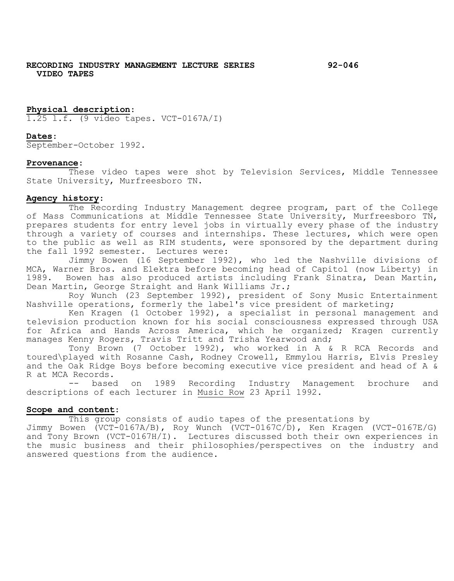# **RECORDING INDUSTRY MANAGEMENT LECTURE SERIES 92-046 VIDEO TAPES**

## **Physical description**:

1.25 l.f. (9 video tapes. VCT-0167A/I)

## **Dates**:

September-October 1992.

#### **Provenance**:

These video tapes were shot by Television Services, Middle Tennessee State University, Murfreesboro TN.

#### **Agency history**:

The Recording Industry Management degree program, part of the College of Mass Communications at Middle Tennessee State University, Murfreesboro TN, prepares students for entry level jobs in virtually every phase of the industry through a variety of courses and internships. These lectures, which were open to the public as well as RIM students, were sponsored by the department during the fall 1992 semester. Lectures were:

Jimmy Bowen (16 September 1992), who led the Nashville divisions of MCA, Warner Bros. and Elektra before becoming head of Capitol (now Liberty) in 1989. Bowen has also produced artists including Frank Sinatra, Dean Martin, Dean Martin, George Straight and Hank Williams Jr.;

Roy Wunch (23 September 1992), president of Sony Music Entertainment Nashville operations, formerly the label's vice president of marketing;

Ken Kragen (1 October 1992), a specialist in personal management and television production known for his social consciousness expressed through USA for Africa and Hands Across America, which he organized; Kragen currently manages Kenny Rogers, Travis Tritt and Trisha Yearwood and;

Tony Brown (7 October 1992), who worked in A & R RCA Records and toured\played with Rosanne Cash, Rodney Crowell, Emmylou Harris, Elvis Presley and the Oak Ridge Boys before becoming executive vice president and head of A & R at MCA Records.<br>-- based

on 1989 Recording Industry Management brochure and descriptions of each lecturer in Music Row 23 April 1992.

#### **Scope and content**:

This group consists of audio tapes of the presentations by

Jimmy Bowen (VCT-0167A/B), Roy Wunch (VCT-0167C/D), Ken Kragen (VCT-0167E/G) and Tony Brown (VCT-0167H/I). Lectures discussed both their own experiences in the music business and their philosophies/perspectives on the industry and answered questions from the audience.